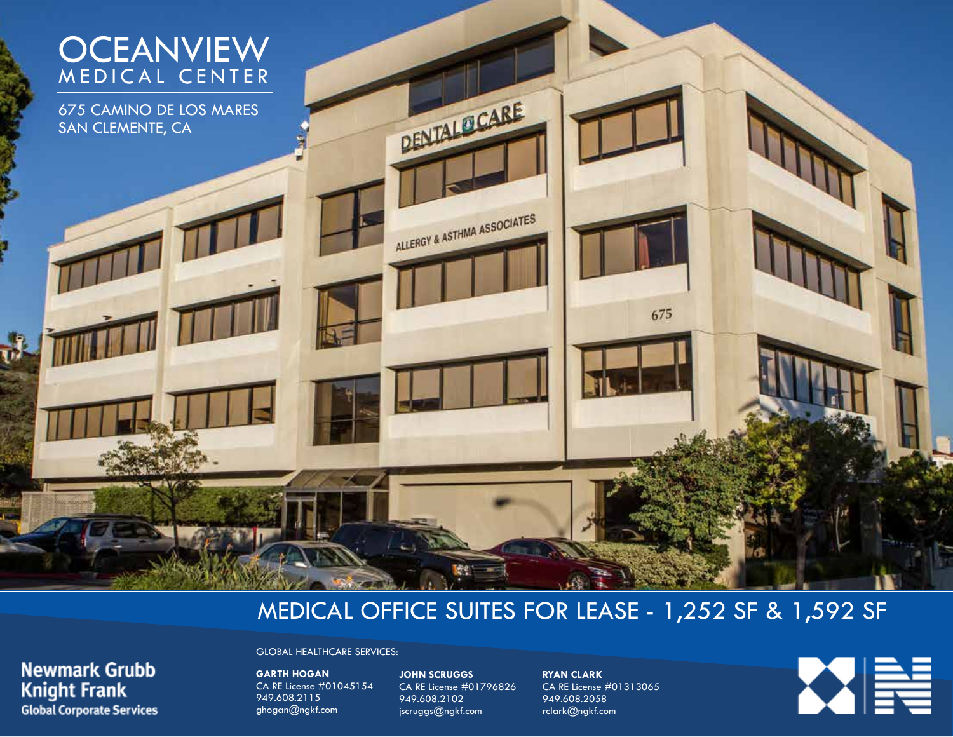# **OCEANVIEW** MEDICAL CENTER

675 CAMINO DE LOS MARES SAN CLEMENTE, CA

**Newmark Grubb** 

**Global Corporate Services** 

**Knight Frank** 

# MEDICAL OFFICE SUITES FOR LEASE - 1,252 SF & 1,592 SF

GLOBAL HEALTHCARE SERVICES:

**GARTH HOGAN** CA RE License #01045154 949.608.2115 ghogan@ngkf.com

**JOHN SCRUGGS** CA RE License #01796826 949.608.2102 jscruggs@ngkf.com

DENTALOCARE

ALLERGY & ASTHMA ASSOCIATES

**RYAN CLARK** CA RE License #01313065 949.608.2058 rclark@ngkf.com

675

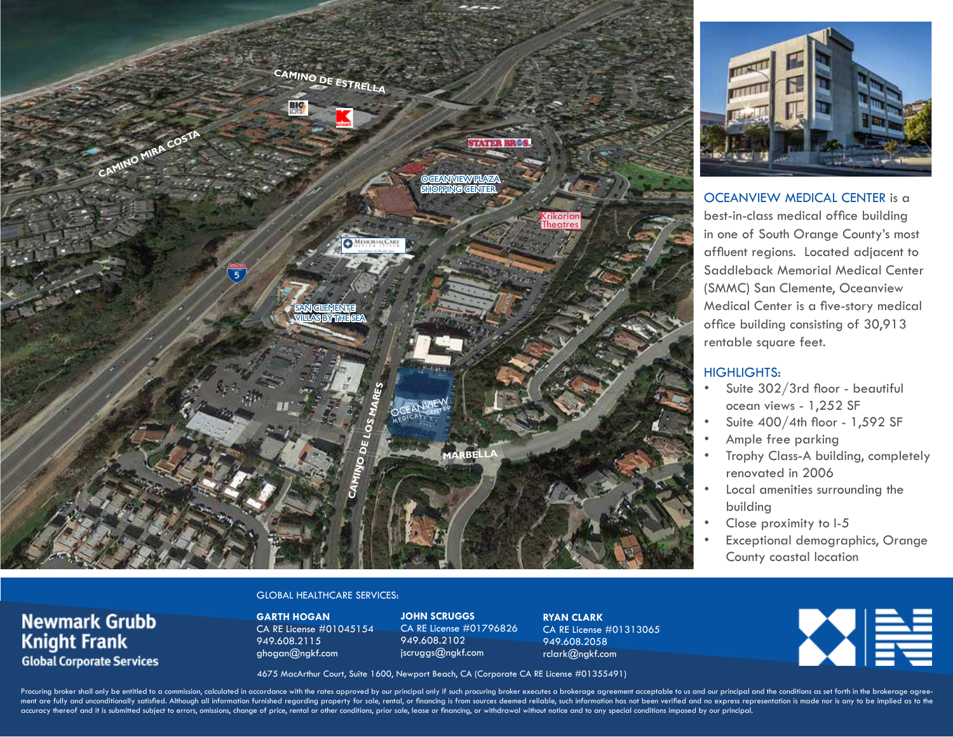



OCEANVIEW MEDICAL CENTER is a best-in-class medical office building in one of South Orange County's most affluent regions. Located adjacent to Saddleback Memorial Medical Center (SMMC) San Clemente, Oceanview Medical Center is a five-story medical office building consisting of 30,913 rentable square feet.

#### HIGHLIGHTS:

- Suite 302/3rd floor beautiful ocean views - 1,252 SF
- Suite 400/4th floor 1,592 SF
- Ample free parking
- Trophy Class-A building, completely renovated in 2006
- Local amenities surrounding the building
- Close proximity to I-5
- Exceptional demographics, Orange County coastal location

### **Newmark Grubb Knight Frank Global Corporate Services**

### GLOBAL HEALTHCARE SERVICES:

**GARTH HOGAN** CA RE License #01045154 949.608.2115 ghogan@ngkf.com

**JOHN SCRUGGS** CA RE License #01796826 949.608.2102 jscruggs@ngkf.com

**RYAN CLARK** CA RE License #01313065 949.608.2058 rclark@ngkf.com



4675 MacArthur Court, Suite 1600, Newport Beach, CA (Corporate CA RE License #01355491)

Procuring broker shall only be entitled to a commission, calculated in accordance with the rates approved by our principal only if such procuring broker executes a brokerage agreement acceptable to us and our principal and ment are fully and unconditionally satisfied. Although all information furnished regarding property for sale, rental, or financing is from sources deemed reliable, such information has not been verified and no express repr accuracy thereof and it is submitted subject to errors, omissions, change of price, rental or other conditions, prior sale, lease or financing, or withdrawal without notice and to any special conditions imposed by our prin